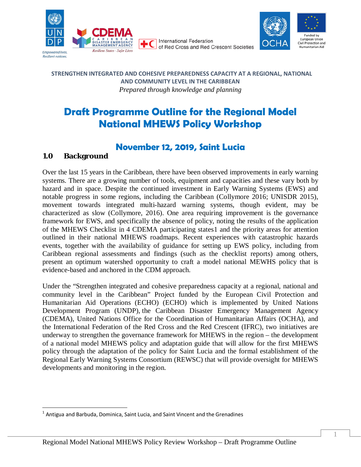

**International Federation** of Red Cross and Red Crescent Societies



#### **STRENGTHEN INTEGRATED AND COHESIVE PREPAREDNESS CAPACITY AT A REGIONAL, NATIONAL AND COMMUNITY LEVEL IN THE CARIBBEAN** *Prepared through knowledge and planning*

# **Draft Programme Outline for the Regional Model National MHEWS Policy Workshop**

## **November 12, 2019, Saint Lucia**

## **1.0 Background**

Over the last 15 years in the Caribbean, there have been observed improvements in early warning systems. There are a growing number of tools, equipment and capacities and these vary both by hazard and in space. Despite the continued investment in Early Warning Systems (EWS) and notable progress in some regions, including the Caribbean (Collymore 2016; UNISDR 2015), movement towards integrated multi-hazard warning systems, though evident, may be characterized as slow (Collymore, 2016). One area requiring improvement is the governance framework for EWS, and specifically the absence of policy, noting the results of the application of the MHEWS Checklist in 4 CDEMA participating states[1](#page-0-0) and the priority areas for attention outlined in their national MHEWS roadmaps. Recent experiences with catastrophic hazards events, together with the availability of guidance for setting up EWS policy, including from Caribbean regional assessments and findings (such as the checklist reports) among others, present an optimum watershed opportunity to craft a model national MEWHS policy that is evidence-based and anchored in the CDM approach.

Under the "Strengthen integrated and cohesive preparedness capacity at a regional, national and community level in the Caribbean" Project funded by the European Civil Protection and Humanitarian Aid Operations (ECHO) (ECHO) which is implemented by United Nations Development Program (UNDP), the Caribbean Disaster Emergency Management Agency (CDEMA), United Nations Office for the Coordination of Humanitarian Affairs (OCHA), and the International Federation of the Red Cross and the Red Crescent (IFRC), two initiatives are underway to strengthen the governance framework for MHEWS in the region – the development of a national model MHEWS policy and adaptation guide that will allow for the first MHEWS policy through the adaptation of the policy for Saint Lucia and the formal establishment of the Regional Early Warning Systems Consortium (REWSC) that will provide oversight for MHEWS developments and monitoring in the region.

<span id="page-0-0"></span> $1$  Antigua and Barbuda, Dominica, Saint Lucia, and Saint Vincent and the Grenadines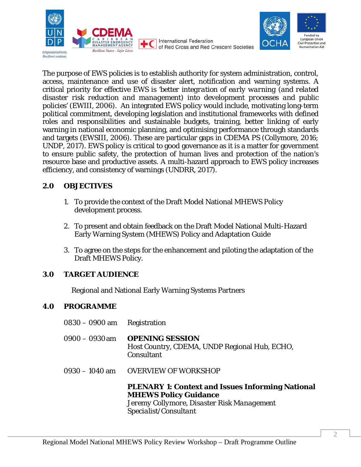

of Red Cross and Red Crescent Societies



The purpose of EWS policies is to establish authority for system administration, control, access, maintenance and use of disaster alert, notification and warning systems. A critical priority for effective EWS is *'better integration of early warning (and related disaster risk reduction and management) into development processes and public policies' (EWIII, 2006).* An integrated EWS policy would include, motivating long-term political commitment, developing legislation and institutional frameworks with defined roles and responsibilities and sustainable budgets, training, better linking of early warning in national economic planning, and optimising performance through standards and targets (EWSIII, 2006). These are particular gaps in CDEMA PS (Collymore, 2016; UNDP, 2017). EWS policy is critical to good governance as it is a matter for government to ensure public safety, the protection of human lives and protection of the nation's resource base and productive assets. A multi-hazard approach to EWS policy increases efficiency, and consistency of warnings (UNDRR, 2017).

**International Federation** 

## **2.0 OBJECTIVES**

- 1. To provide the context of the Draft Model National MHEWS Policy development process.
- 2. To present and obtain feedback on the Draft Model National Multi-Hazard Early Warning System (MHEWS) Policy and Adaptation Guide
- 3. To agree on the steps for the enhancement and piloting the adaptation of the Draft MHEWS Policy.

## **3.0 TARGET AUDIENCE**

Regional and National Early Warning Systems Partners

## **4.0 PROGRAMME**

0830 – 0900 am Registration 0900 – 0930am **OPENING SESSION** Host Country, CDEMA, UNDP Regional Hub, ECHO, **Consultant** 0930 – 1040 am OVERVIEW OF WORKSHOP **PLENARY 1: Context and Issues Informing National MHEWS Policy Guidance**  *Jeremy Collymore, Disaster Risk Management Specialist/Consultant*